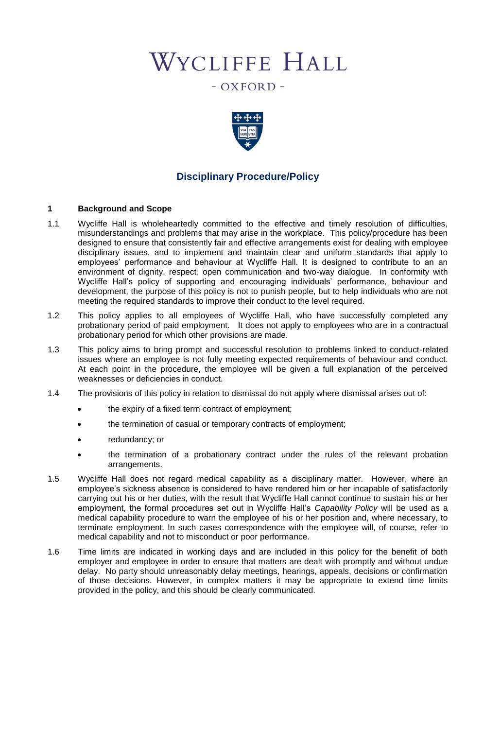# WYCLIFFE HALL

 $-$  OXFORD  $-$ 



# **Disciplinary Procedure/Policy**

#### **1 Background and Scope**

- 1.1 Wycliffe Hall is wholeheartedly committed to the effective and timely resolution of difficulties, misunderstandings and problems that may arise in the workplace. This policy/procedure has been designed to ensure that consistently fair and effective arrangements exist for dealing with employee disciplinary issues, and to implement and maintain clear and uniform standards that apply to employees' performance and behaviour at Wycliffe Hall. It is designed to contribute to an an environment of dignity, respect, open communication and two-way dialogue. In conformity with Wycliffe Hall's policy of supporting and encouraging individuals' performance, behaviour and development, the purpose of this policy is not to punish people, but to help individuals who are not meeting the required standards to improve their conduct to the level required.
- 1.2 This policy applies to all employees of Wycliffe Hall, who have successfully completed any probationary period of paid employment. It does not apply to employees who are in a contractual probationary period for which other provisions are made.
- 1.3 This policy aims to bring prompt and successful resolution to problems linked to conduct-related issues where an employee is not fully meeting expected requirements of behaviour and conduct. At each point in the procedure, the employee will be given a full explanation of the perceived weaknesses or deficiencies in conduct.
- 1.4 The provisions of this policy in relation to dismissal do not apply where dismissal arises out of:
	- the expiry of a fixed term contract of employment;
	- the termination of casual or temporary contracts of employment;
	- redundancy; or
	- the termination of a probationary contract under the rules of the relevant probation arrangements.
- 1.5 Wycliffe Hall does not regard medical capability as a disciplinary matter. However, where an employee's sickness absence is considered to have rendered him or her incapable of satisfactorily carrying out his or her duties, with the result that Wycliffe Hall cannot continue to sustain his or her employment, the formal procedures set out in Wycliffe Hall's *Capability Policy* will be used as a medical capability procedure to warn the employee of his or her position and, where necessary, to terminate employment. In such cases correspondence with the employee will, of course, refer to medical capability and not to misconduct or poor performance.
- 1.6 Time limits are indicated in working days and are included in this policy for the benefit of both employer and employee in order to ensure that matters are dealt with promptly and without undue delay. No party should unreasonably delay meetings, hearings, appeals, decisions or confirmation of those decisions. However, in complex matters it may be appropriate to extend time limits provided in the policy, and this should be clearly communicated.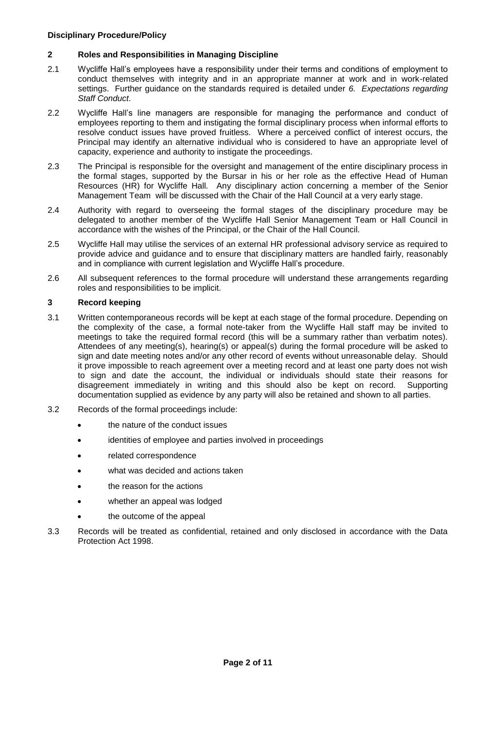## **2 Roles and Responsibilities in Managing Discipline**

- 2.1 Wycliffe Hall's employees have a responsibility under their terms and conditions of employment to conduct themselves with integrity and in an appropriate manner at work and in work-related settings. Further guidance on the standards required is detailed under *6. Expectations regarding Staff Conduct*.
- 2.2 Wycliffe Hall's line managers are responsible for managing the performance and conduct of employees reporting to them and instigating the formal disciplinary process when informal efforts to resolve conduct issues have proved fruitless. Where a perceived conflict of interest occurs, the Principal may identify an alternative individual who is considered to have an appropriate level of capacity, experience and authority to instigate the proceedings.
- 2.3 The Principal is responsible for the oversight and management of the entire disciplinary process in the formal stages, supported by the Bursar in his or her role as the effective Head of Human Resources (HR) for Wycliffe Hall. Any disciplinary action concerning a member of the Senior Management Team will be discussed with the Chair of the Hall Council at a very early stage.
- 2.4 Authority with regard to overseeing the formal stages of the disciplinary procedure may be delegated to another member of the Wycliffe Hall Senior Management Team or Hall Council in accordance with the wishes of the Principal, or the Chair of the Hall Council.
- 2.5 Wycliffe Hall may utilise the services of an external HR professional advisory service as required to provide advice and guidance and to ensure that disciplinary matters are handled fairly, reasonably and in compliance with current legislation and Wycliffe Hall's procedure.
- 2.6 All subsequent references to the formal procedure will understand these arrangements regarding roles and responsibilities to be implicit.

## **3 Record keeping**

- 3.1 Written contemporaneous records will be kept at each stage of the formal procedure. Depending on the complexity of the case, a formal note-taker from the Wycliffe Hall staff may be invited to meetings to take the required formal record (this will be a summary rather than verbatim notes). Attendees of any meeting(s), hearing(s) or appeal(s) during the formal procedure will be asked to sign and date meeting notes and/or any other record of events without unreasonable delay. Should it prove impossible to reach agreement over a meeting record and at least one party does not wish to sign and date the account, the individual or individuals should state their reasons for disagreement immediately in writing and this should also be kept on record. Supporting documentation supplied as evidence by any party will also be retained and shown to all parties.
- 3.2 Records of the formal proceedings include:
	- the nature of the conduct issues
	- identities of employee and parties involved in proceedings
	- related correspondence
	- what was decided and actions taken
	- the reason for the actions
	- whether an appeal was lodged
	- the outcome of the appeal
- 3.3 Records will be treated as confidential, retained and only disclosed in accordance with the Data Protection Act 1998.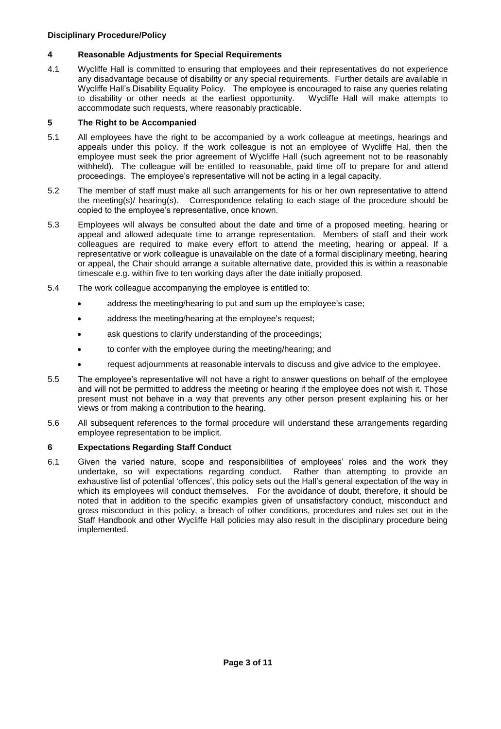## **4 Reasonable Adjustments for Special Requirements**

4.1 Wycliffe Hall is committed to ensuring that employees and their representatives do not experience any disadvantage because of disability or any special requirements. Further details are available in Wycliffe Hall's Disability Equality Policy. The employee is encouraged to raise any queries relating to disability or other needs at the earliest opportunity. Wycliffe Hall will make attempts to accommodate such requests, where reasonably practicable.

#### **5 The Right to be Accompanied**

- 5.1 All employees have the right to be accompanied by a work colleague at meetings, hearings and appeals under this policy. If the work colleague is not an employee of Wycliffe Hal, then the employee must seek the prior agreement of Wycliffe Hall (such agreement not to be reasonably withheld). The colleague will be entitled to reasonable, paid time off to prepare for and attend proceedings. The employee's representative will not be acting in a legal capacity.
- 5.2 The member of staff must make all such arrangements for his or her own representative to attend the meeting(s)/ hearing(s). Correspondence relating to each stage of the procedure should be copied to the employee's representative, once known.
- 5.3 Employees will always be consulted about the date and time of a proposed meeting, hearing or appeal and allowed adequate time to arrange representation. Members of staff and their work colleagues are required to make every effort to attend the meeting, hearing or appeal. If a representative or work colleague is unavailable on the date of a formal disciplinary meeting, hearing or appeal, the Chair should arrange a suitable alternative date, provided this is within a reasonable timescale e.g. within five to ten working days after the date initially proposed.
- 5.4 The work colleague accompanying the employee is entitled to:
	- address the meeting/hearing to put and sum up the employee's case;
	- address the meeting/hearing at the employee's request;
	- ask questions to clarify understanding of the proceedings;
	- to confer with the employee during the meeting/hearing; and
	- request adjournments at reasonable intervals to discuss and give advice to the employee.
- 5.5 The employee's representative will not have a right to answer questions on behalf of the employee and will not be permitted to address the meeting or hearing if the employee does not wish it. Those present must not behave in a way that prevents any other person present explaining his or her views or from making a contribution to the hearing.
- 5.6 All subsequent references to the formal procedure will understand these arrangements regarding employee representation to be implicit.

## **6 Expectations Regarding Staff Conduct**

6.1 Given the varied nature, scope and responsibilities of employees' roles and the work they undertake, so will expectations regarding conduct. Rather than attempting to provide an exhaustive list of potential 'offences', this policy sets out the Hall's general expectation of the way in which its employees will conduct themselves. For the avoidance of doubt, therefore, it should be noted that in addition to the specific examples given of unsatisfactory conduct, misconduct and gross misconduct in this policy, a breach of other conditions, procedures and rules set out in the Staff Handbook and other Wycliffe Hall policies may also result in the disciplinary procedure being implemented.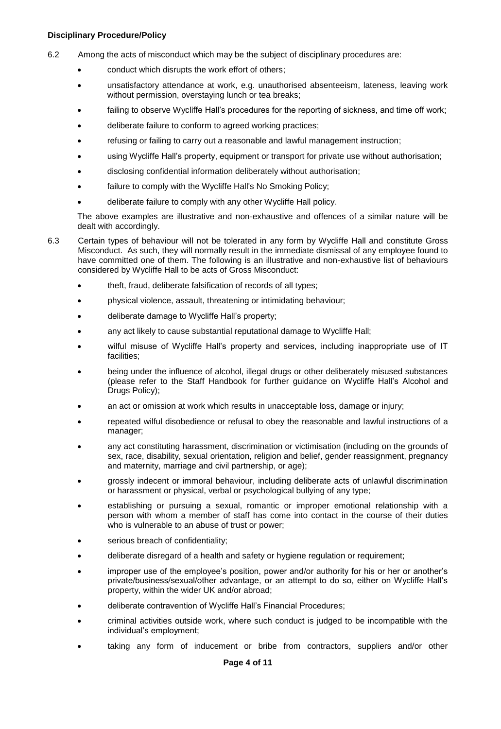6.2 Among the acts of misconduct which may be the subject of disciplinary procedures are:

- conduct which disrupts the work effort of others;
- unsatisfactory attendance at work, e.g. unauthorised absenteeism, lateness, leaving work without permission, overstaying lunch or tea breaks;
- failing to observe Wycliffe Hall's procedures for the reporting of sickness, and time off work;
- deliberate failure to conform to agreed working practices;
- refusing or failing to carry out a reasonable and lawful management instruction;
- using Wycliffe Hall's property, equipment or transport for private use without authorisation;
- disclosing confidential information deliberately without authorisation;
- failure to comply with the Wycliffe Hall's No Smoking Policy;
- deliberate failure to comply with any other Wycliffe Hall policy.

The above examples are illustrative and non-exhaustive and offences of a similar nature will be dealt with accordingly.

- 6.3 Certain types of behaviour will not be tolerated in any form by Wycliffe Hall and constitute Gross Misconduct. As such, they will normally result in the immediate dismissal of any employee found to have committed one of them. The following is an illustrative and non-exhaustive list of behaviours considered by Wycliffe Hall to be acts of Gross Misconduct:
	- theft, fraud, deliberate falsification of records of all types;
	- physical violence, assault, threatening or intimidating behaviour;
	- deliberate damage to Wycliffe Hall's property;
	- any act likely to cause substantial reputational damage to Wycliffe Hall;
	- wilful misuse of Wycliffe Hall's property and services, including inappropriate use of IT facilities;
	- being under the influence of alcohol, illegal drugs or other deliberately misused substances (please refer to the Staff Handbook for further guidance on Wycliffe Hall's Alcohol and Drugs Policy);
	- an act or omission at work which results in unacceptable loss, damage or injury;
	- repeated wilful disobedience or refusal to obey the reasonable and lawful instructions of a manager;
	- any act constituting harassment, discrimination or victimisation (including on the grounds of sex, race, disability, sexual orientation, religion and belief, gender reassignment, pregnancy and maternity, marriage and civil partnership, or age);
	- grossly indecent or immoral behaviour, including deliberate acts of unlawful discrimination or harassment or physical, verbal or psychological bullying of any type;
	- establishing or pursuing a sexual, romantic or improper emotional relationship with a person with whom a member of staff has come into contact in the course of their duties who is vulnerable to an abuse of trust or power;
	- serious breach of confidentiality;
	- deliberate disregard of a health and safety or hygiene regulation or requirement;
	- improper use of the employee's position, power and/or authority for his or her or another's private/business/sexual/other advantage, or an attempt to do so, either on Wycliffe Hall's property, within the wider UK and/or abroad;
	- deliberate contravention of Wycliffe Hall's Financial Procedures;
	- criminal activities outside work, where such conduct is judged to be incompatible with the individual's employment;
	- taking any form of inducement or bribe from contractors, suppliers and/or other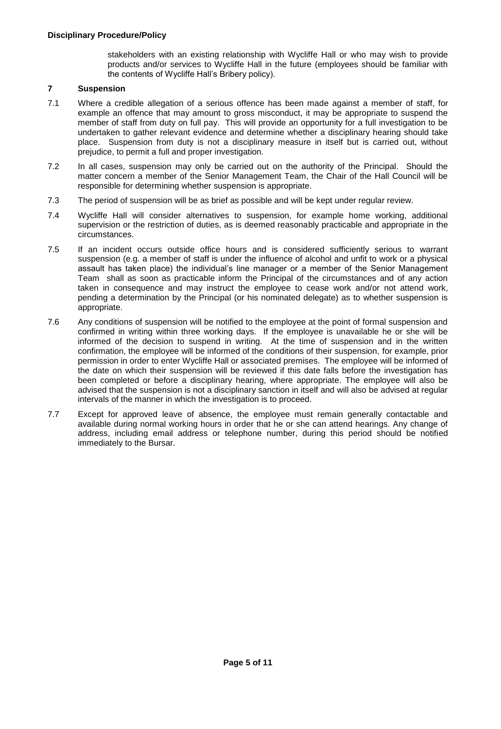stakeholders with an existing relationship with Wycliffe Hall or who may wish to provide products and/or services to Wycliffe Hall in the future (employees should be familiar with the contents of Wycliffe Hall's Bribery policy).

## **7 Suspension**

- 7.1 Where a credible allegation of a serious offence has been made against a member of staff, for example an offence that may amount to gross misconduct, it may be appropriate to suspend the member of staff from duty on full pay. This will provide an opportunity for a full investigation to be undertaken to gather relevant evidence and determine whether a disciplinary hearing should take place. Suspension from duty is not a disciplinary measure in itself but is carried out, without prejudice, to permit a full and proper investigation.
- 7.2 In all cases, suspension may only be carried out on the authority of the Principal. Should the matter concern a member of the Senior Management Team, the Chair of the Hall Council will be responsible for determining whether suspension is appropriate.
- 7.3 The period of suspension will be as brief as possible and will be kept under regular review.
- 7.4 Wycliffe Hall will consider alternatives to suspension, for example home working, additional supervision or the restriction of duties, as is deemed reasonably practicable and appropriate in the circumstances.
- 7.5 If an incident occurs outside office hours and is considered sufficiently serious to warrant suspension (e.g. a member of staff is under the influence of alcohol and unfit to work or a physical assault has taken place) the individual's line manager or a member of the Senior Management Team shall as soon as practicable inform the Principal of the circumstances and of any action taken in consequence and may instruct the employee to cease work and/or not attend work, pending a determination by the Principal (or his nominated delegate) as to whether suspension is appropriate.
- 7.6 Any conditions of suspension will be notified to the employee at the point of formal suspension and confirmed in writing within three working days. If the employee is unavailable he or she will be informed of the decision to suspend in writing. At the time of suspension and in the written confirmation, the employee will be informed of the conditions of their suspension, for example, prior permission in order to enter Wycliffe Hall or associated premises. The employee will be informed of the date on which their suspension will be reviewed if this date falls before the investigation has been completed or before a disciplinary hearing, where appropriate. The employee will also be advised that the suspension is not a disciplinary sanction in itself and will also be advised at regular intervals of the manner in which the investigation is to proceed.
- 7.7 Except for approved leave of absence, the employee must remain generally contactable and available during normal working hours in order that he or she can attend hearings. Any change of address, including email address or telephone number, during this period should be notified immediately to the Bursar.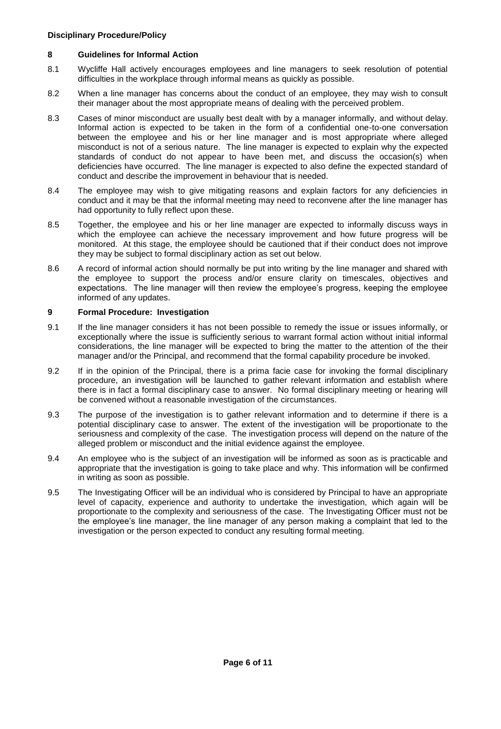## **8 Guidelines for Informal Action**

- 8.1 Wycliffe Hall actively encourages employees and line managers to seek resolution of potential difficulties in the workplace through informal means as quickly as possible.
- 8.2 When a line manager has concerns about the conduct of an employee, they may wish to consult their manager about the most appropriate means of dealing with the perceived problem.
- 8.3 Cases of minor misconduct are usually best dealt with by a manager informally, and without delay. Informal action is expected to be taken in the form of a confidential one-to-one conversation between the employee and his or her line manager and is most appropriate where alleged misconduct is not of a serious nature. The line manager is expected to explain why the expected standards of conduct do not appear to have been met, and discuss the occasion(s) when deficiencies have occurred. The line manager is expected to also define the expected standard of conduct and describe the improvement in behaviour that is needed.
- 8.4 The employee may wish to give mitigating reasons and explain factors for any deficiencies in conduct and it may be that the informal meeting may need to reconvene after the line manager has had opportunity to fully reflect upon these.
- 8.5 Together, the employee and his or her line manager are expected to informally discuss ways in which the employee can achieve the necessary improvement and how future progress will be monitored. At this stage, the employee should be cautioned that if their conduct does not improve they may be subject to formal disciplinary action as set out below.
- 8.6 A record of informal action should normally be put into writing by the line manager and shared with the employee to support the process and/or ensure clarity on timescales, objectives and expectations. The line manager will then review the employee's progress, keeping the employee informed of any updates.

## **9 Formal Procedure: Investigation**

- 9.1 If the line manager considers it has not been possible to remedy the issue or issues informally, or exceptionally where the issue is sufficiently serious to warrant formal action without initial informal considerations, the line manager will be expected to bring the matter to the attention of the their manager and/or the Principal, and recommend that the formal capability procedure be invoked.
- 9.2 If in the opinion of the Principal, there is a prima facie case for invoking the formal disciplinary procedure, an investigation will be launched to gather relevant information and establish where there is in fact a formal disciplinary case to answer. No formal disciplinary meeting or hearing will be convened without a reasonable investigation of the circumstances.
- 9.3 The purpose of the investigation is to gather relevant information and to determine if there is a potential disciplinary case to answer. The extent of the investigation will be proportionate to the seriousness and complexity of the case. The investigation process will depend on the nature of the alleged problem or misconduct and the initial evidence against the employee.
- 9.4 An employee who is the subject of an investigation will be informed as soon as is practicable and appropriate that the investigation is going to take place and why. This information will be confirmed in writing as soon as possible.
- 9.5 The Investigating Officer will be an individual who is considered by Principal to have an appropriate level of capacity, experience and authority to undertake the investigation, which again will be proportionate to the complexity and seriousness of the case. The Investigating Officer must not be the employee's line manager, the line manager of any person making a complaint that led to the investigation or the person expected to conduct any resulting formal meeting.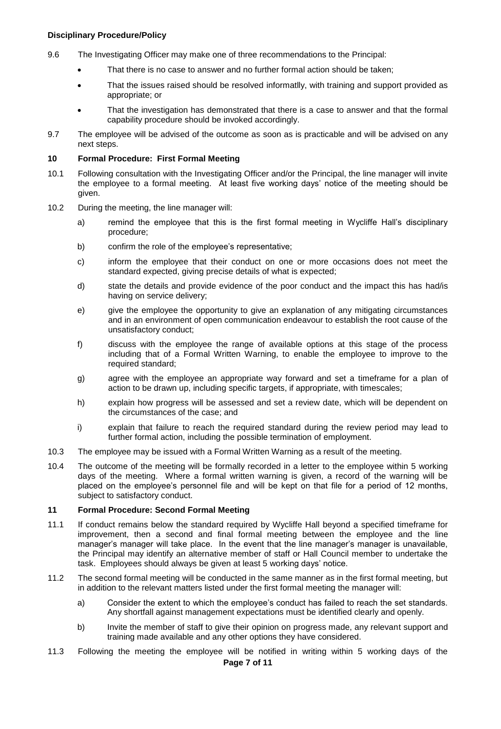- 9.6 The Investigating Officer may make one of three recommendations to the Principal:
	- That there is no case to answer and no further formal action should be taken;
	- That the issues raised should be resolved informatlly, with training and support provided as appropriate; or
	- That the investigation has demonstrated that there is a case to answer and that the formal capability procedure should be invoked accordingly.
- 9.7 The employee will be advised of the outcome as soon as is practicable and will be advised on any next steps.

#### **10 Formal Procedure: First Formal Meeting**

- 10.1 Following consultation with the Investigating Officer and/or the Principal, the line manager will invite the employee to a formal meeting. At least five working days' notice of the meeting should be given.
- 10.2 During the meeting, the line manager will:
	- a) remind the employee that this is the first formal meeting in Wycliffe Hall's disciplinary procedure;
	- b) confirm the role of the employee's representative;
	- c) inform the employee that their conduct on one or more occasions does not meet the standard expected, giving precise details of what is expected;
	- d) state the details and provide evidence of the poor conduct and the impact this has had/is having on service delivery;
	- e) give the employee the opportunity to give an explanation of any mitigating circumstances and in an environment of open communication endeavour to establish the root cause of the unsatisfactory conduct;
	- f) discuss with the employee the range of available options at this stage of the process including that of a Formal Written Warning, to enable the employee to improve to the required standard;
	- g) agree with the employee an appropriate way forward and set a timeframe for a plan of action to be drawn up, including specific targets, if appropriate, with timescales;
	- h) explain how progress will be assessed and set a review date, which will be dependent on the circumstances of the case; and
	- i) explain that failure to reach the required standard during the review period may lead to further formal action, including the possible termination of employment.
- 10.3 The employee may be issued with a Formal Written Warning as a result of the meeting.
- 10.4 The outcome of the meeting will be formally recorded in a letter to the employee within 5 working days of the meeting. Where a formal written warning is given, a record of the warning will be placed on the employee's personnel file and will be kept on that file for a period of 12 months, subject to satisfactory conduct.

#### **11 Formal Procedure: Second Formal Meeting**

- 11.1 If conduct remains below the standard required by Wycliffe Hall beyond a specified timeframe for improvement, then a second and final formal meeting between the employee and the line manager's manager will take place. In the event that the line manager's manager is unavailable, the Principal may identify an alternative member of staff or Hall Council member to undertake the task. Employees should always be given at least 5 working days' notice.
- 11.2 The second formal meeting will be conducted in the same manner as in the first formal meeting, but in addition to the relevant matters listed under the first formal meeting the manager will:
	- a) Consider the extent to which the employee's conduct has failed to reach the set standards. Any shortfall against management expectations must be identified clearly and openly.
	- b) Invite the member of staff to give their opinion on progress made, any relevant support and training made available and any other options they have considered.
- **Page 7 of 11** 11.3 Following the meeting the employee will be notified in writing within 5 working days of the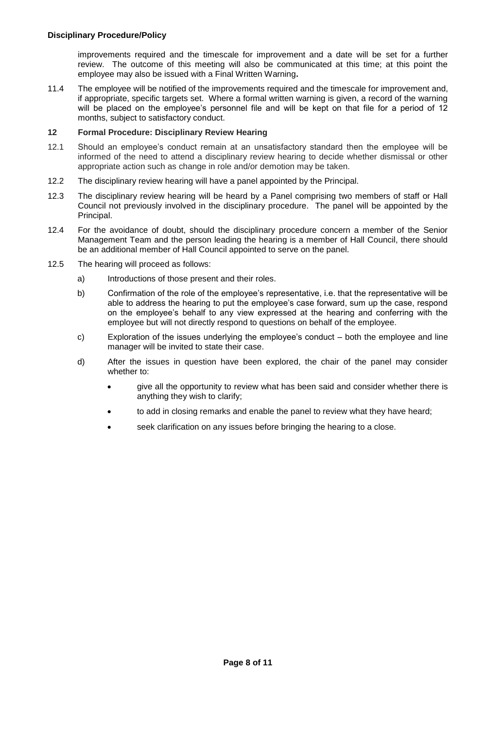improvements required and the timescale for improvement and a date will be set for a further review. The outcome of this meeting will also be communicated at this time; at this point the employee may also be issued with a Final Written Warning**.**

11.4 The employee will be notified of the improvements required and the timescale for improvement and, if appropriate, specific targets set. Where a formal written warning is given, a record of the warning will be placed on the employee's personnel file and will be kept on that file for a period of 12 months, subject to satisfactory conduct.

#### **12 Formal Procedure: Disciplinary Review Hearing**

- 12.1 Should an employee's conduct remain at an unsatisfactory standard then the employee will be informed of the need to attend a disciplinary review hearing to decide whether dismissal or other appropriate action such as change in role and/or demotion may be taken.
- 12.2 The disciplinary review hearing will have a panel appointed by the Principal.
- 12.3 The disciplinary review hearing will be heard by a Panel comprising two members of staff or Hall Council not previously involved in the disciplinary procedure. The panel will be appointed by the Principal.
- 12.4 For the avoidance of doubt, should the disciplinary procedure concern a member of the Senior Management Team and the person leading the hearing is a member of Hall Council, there should be an additional member of Hall Council appointed to serve on the panel.
- 12.5 The hearing will proceed as follows:
	- a) Introductions of those present and their roles.
	- b) Confirmation of the role of the employee's representative, i.e. that the representative will be able to address the hearing to put the employee's case forward, sum up the case, respond on the employee's behalf to any view expressed at the hearing and conferring with the employee but will not directly respond to questions on behalf of the employee.
	- c) Exploration of the issues underlying the employee's conduct both the employee and line manager will be invited to state their case.
	- d) After the issues in question have been explored, the chair of the panel may consider whether to:
		- give all the opportunity to review what has been said and consider whether there is anything they wish to clarify;
		- to add in closing remarks and enable the panel to review what they have heard;
		- seek clarification on any issues before bringing the hearing to a close.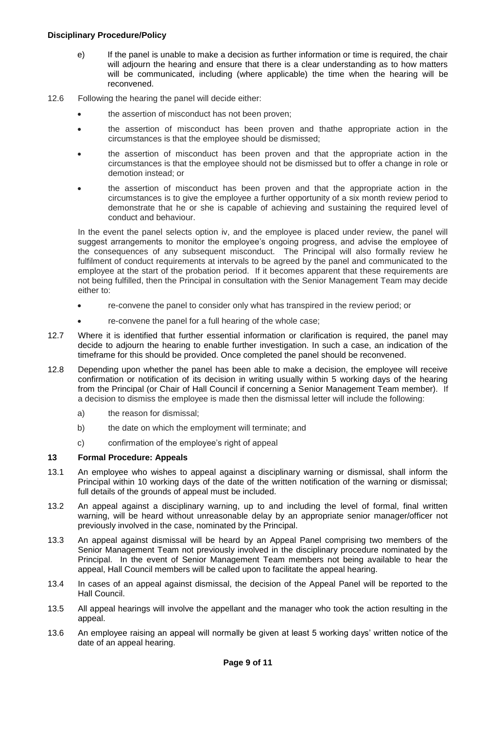- e) If the panel is unable to make a decision as further information or time is required, the chair will adjourn the hearing and ensure that there is a clear understanding as to how matters will be communicated, including (where applicable) the time when the hearing will be reconvened.
- 12.6 Following the hearing the panel will decide either:
	- the assertion of misconduct has not been proven;
	- the assertion of misconduct has been proven and thathe appropriate action in the circumstances is that the employee should be dismissed;
	- the assertion of misconduct has been proven and that the appropriate action in the circumstances is that the employee should not be dismissed but to offer a change in role or demotion instead; or
	- the assertion of misconduct has been proven and that the appropriate action in the circumstances is to give the employee a further opportunity of a six month review period to demonstrate that he or she is capable of achieving and sustaining the required level of conduct and behaviour.

In the event the panel selects option iv, and the employee is placed under review, the panel will suggest arrangements to monitor the employee's ongoing progress, and advise the employee of the consequences of any subsequent misconduct. The Principal will also formally review he fulfilment of conduct requirements at intervals to be agreed by the panel and communicated to the employee at the start of the probation period. If it becomes apparent that these requirements are not being fulfilled, then the Principal in consultation with the Senior Management Team may decide either to:

- re-convene the panel to consider only what has transpired in the review period; or
- re-convene the panel for a full hearing of the whole case;
- 12.7 Where it is identified that further essential information or clarification is required, the panel may decide to adjourn the hearing to enable further investigation. In such a case, an indication of the timeframe for this should be provided. Once completed the panel should be reconvened.
- 12.8 Depending upon whether the panel has been able to make a decision, the employee will receive confirmation or notification of its decision in writing usually within 5 working days of the hearing from the Principal (or Chair of Hall Council if concerning a Senior Management Team member). If a decision to dismiss the employee is made then the dismissal letter will include the following:
	- a) the reason for dismissal;
	- b) the date on which the employment will terminate; and
	- c) confirmation of the employee's right of appeal

## **13 Formal Procedure: Appeals**

- 13.1 An employee who wishes to appeal against a disciplinary warning or dismissal, shall inform the Principal within 10 working days of the date of the written notification of the warning or dismissal; full details of the grounds of appeal must be included.
- 13.2 An appeal against a disciplinary warning, up to and including the level of formal, final written warning, will be heard without unreasonable delay by an appropriate senior manager/officer not previously involved in the case, nominated by the Principal.
- 13.3 An appeal against dismissal will be heard by an Appeal Panel comprising two members of the Senior Management Team not previously involved in the disciplinary procedure nominated by the Principal. In the event of Senior Management Team members not being available to hear the appeal, Hall Council members will be called upon to facilitate the appeal hearing.
- 13.4 In cases of an appeal against dismissal, the decision of the Appeal Panel will be reported to the Hall Council.
- 13.5 All appeal hearings will involve the appellant and the manager who took the action resulting in the appeal.
- 13.6 An employee raising an appeal will normally be given at least 5 working days' written notice of the date of an appeal hearing.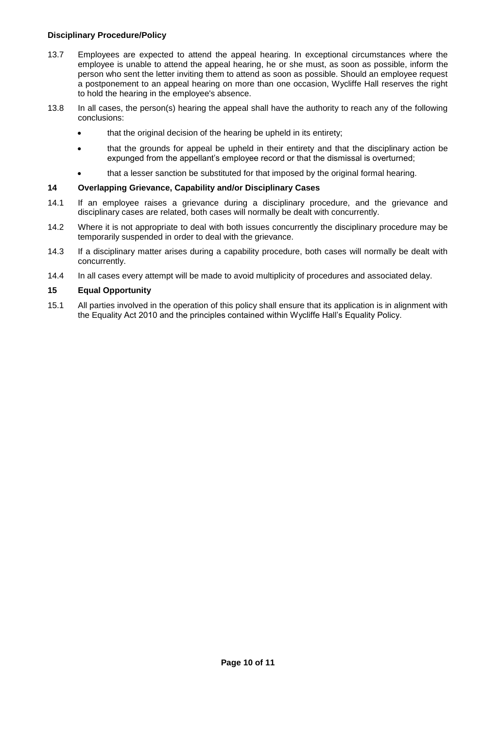- 13.7 Employees are expected to attend the appeal hearing. In exceptional circumstances where the employee is unable to attend the appeal hearing, he or she must, as soon as possible, inform the person who sent the letter inviting them to attend as soon as possible. Should an employee request a postponement to an appeal hearing on more than one occasion, Wycliffe Hall reserves the right to hold the hearing in the employee's absence.
- 13.8 In all cases, the person(s) hearing the appeal shall have the authority to reach any of the following conclusions:
	- that the original decision of the hearing be upheld in its entirety;
	- that the grounds for appeal be upheld in their entirety and that the disciplinary action be expunged from the appellant's employee record or that the dismissal is overturned;
	- that a lesser sanction be substituted for that imposed by the original formal hearing.

#### **14 Overlapping Grievance, Capability and/or Disciplinary Cases**

- 14.1 If an employee raises a grievance during a disciplinary procedure, and the grievance and disciplinary cases are related, both cases will normally be dealt with concurrently.
- 14.2 Where it is not appropriate to deal with both issues concurrently the disciplinary procedure may be temporarily suspended in order to deal with the grievance.
- 14.3 If a disciplinary matter arises during a capability procedure, both cases will normally be dealt with concurrently.
- 14.4 In all cases every attempt will be made to avoid multiplicity of procedures and associated delay.

## **15 Equal Opportunity**

15.1 All parties involved in the operation of this policy shall ensure that its application is in alignment with the Equality Act 2010 and the principles contained within Wycliffe Hall's Equality Policy.